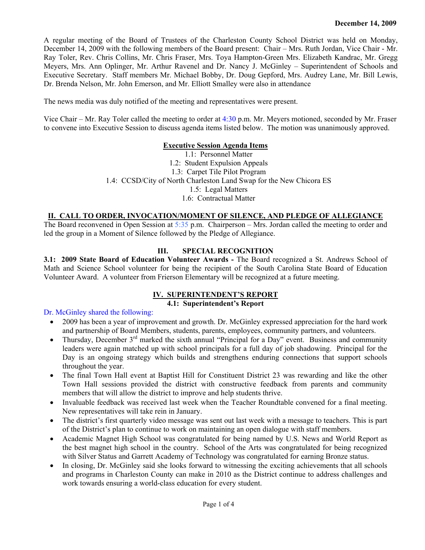A regular meeting of the Board of Trustees of the Charleston County School District was held on Monday, December 14, 2009 with the following members of the Board present: Chair – Mrs. Ruth Jordan, Vice Chair - Mr. Ray Toler, Rev. Chris Collins, Mr. Chris Fraser, Mrs. Toya Hampton-Green Mrs. Elizabeth Kandrac, Mr. Gregg Meyers, Mrs. Ann Oplinger, Mr. Arthur Ravenel and Dr. Nancy J. McGinley – Superintendent of Schools and Executive Secretary. Staff members Mr. Michael Bobby, Dr. Doug Gepford, Mrs. Audrey Lane, Mr. Bill Lewis, Dr. Brenda Nelson, Mr. John Emerson, and Mr. Elliott Smalley were also in attendance

The news media was duly notified of the meeting and representatives were present.

Vice Chair – Mr. Ray Toler called the meeting to order at 4:30 p.m. Mr. Meyers motioned, seconded by Mr. Fraser to convene into Executive Session to discuss agenda items listed below. The motion was unanimously approved.

#### **Executive Session Agenda Items**

1.1: Personnel Matter 1.2: Student Expulsion Appeals 1.3: Carpet Tile Pilot Program 1.4: CCSD/City of North Charleston Land Swap for the New Chicora ES 1.5: Legal Matters 1.6: Contractual Matter

## **II. CALL TO ORDER, INVOCATION/MOMENT OF SILENCE, AND PLEDGE OF ALLEGIANCE**

The Board reconvened in Open Session at 5:35 p.m. Chairperson – Mrs. Jordan called the meeting to order and led the group in a Moment of Silence followed by the Pledge of Allegiance.

### **III. SPECIAL RECOGNITION**

**3.1: 2009 State Board of Education Volunteer Awards -** The Board recognized a St. Andrews School of Math and Science School volunteer for being the recipient of the South Carolina State Board of Education Volunteer Award. A volunteer from Frierson Elementary will be recognized at a future meeting.

#### **IV. SUPERINTENDENT'S REPORT**

### **4.1: Superintendent's Report**

## Dr. McGinley shared the following:

- 2009 has been a year of improvement and growth. Dr. McGinley expressed appreciation for the hard work and partnership of Board Members, students, parents, employees, community partners, and volunteers.
- Thursday, December 3rd marked the sixth annual "Principal for a Day" event. Business and community leaders were again matched up with school principals for a full day of job shadowing. Principal for the Day is an ongoing strategy which builds and strengthens enduring connections that support schools throughout the year.
- The final Town Hall event at Baptist Hill for Constituent District 23 was rewarding and like the other Town Hall sessions provided the district with constructive feedback from parents and community members that will allow the district to improve and help students thrive.
- Invaluable feedback was received last week when the Teacher Roundtable convened for a final meeting. New representatives will take rein in January.
- The district's first quarterly video message was sent out last week with a message to teachers. This is part of the District's plan to continue to work on maintaining an open dialogue with staff members.
- Academic Magnet High School was congratulated for being named by U.S. News and World Report as the best magnet high school in the country. School of the Arts was congratulated for being recognized with Silver Status and Garrett Academy of Technology was congratulated for earning Bronze status.
- In closing, Dr. McGinley said she looks forward to witnessing the exciting achievements that all schools and programs in Charleston County can make in 2010 as the District continue to address challenges and work towards ensuring a world-class education for every student.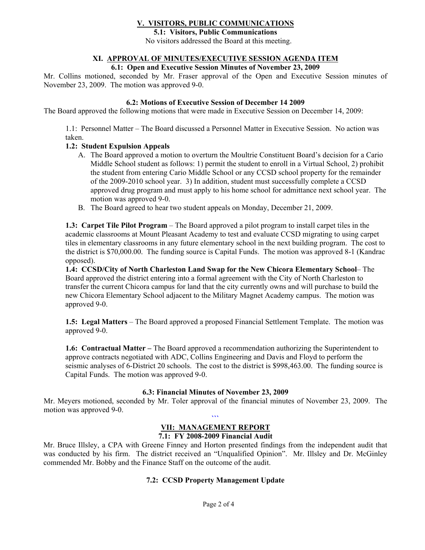# **V. VISITORS, PUBLIC COMMUNICATIONS**

**5.1: Visitors, Public Communications**  No visitors addressed the Board at this meeting.

## **XI. APPROVAL OF MINUTES/EXECUTIVE SESSION AGENDA ITEM**

### **6.1: Open and Executive Session Minutes of November 23, 2009**

Mr. Collins motioned, seconded by Mr. Fraser approval of the Open and Executive Session minutes of November 23, 2009. The motion was approved 9-0.

#### **6.2: Motions of Executive Session of December 14 2009**

The Board approved the following motions that were made in Executive Session on December 14, 2009:

1.1: Personnel Matter – The Board discussed a Personnel Matter in Executive Session. No action was taken.

#### **1.2: Student Expulsion Appeals**

- A. The Board approved a motion to overturn the Moultrie Constituent Board's decision for a Cario Middle School student as follows: 1) permit the student to enroll in a Virtual School, 2) prohibit the student from entering Cario Middle School or any CCSD school property for the remainder of the 2009-2010 school year. 3) In addition, student must successfully complete a CCSD approved drug program and must apply to his home school for admittance next school year. The motion was approved 9-0.
- B. The Board agreed to hear two student appeals on Monday, December 21, 2009.

**1.3: Carpet Tile Pilot Program** – The Board approved a pilot program to install carpet tiles in the academic classrooms at Mount Pleasant Academy to test and evaluate CCSD migrating to using carpet tiles in elementary classrooms in any future elementary school in the next building program. The cost to the district is \$70,000.00. The funding source is Capital Funds. The motion was approved 8-1 (Kandrac opposed).

**1.4: CCSD/City of North Charleston Land Swap for the New Chicora Elementary School**– The Board approved the district entering into a formal agreement with the City of North Charleston to transfer the current Chicora campus for land that the city currently owns and will purchase to build the new Chicora Elementary School adjacent to the Military Magnet Academy campus. The motion was approved 9-0.

**1.5: Legal Matters** – The Board approved a proposed Financial Settlement Template. The motion was approved 9-0.

**1.6: Contractual Matter –** The Board approved a recommendation authorizing the Superintendent to approve contracts negotiated with ADC, Collins Engineering and Davis and Floyd to perform the seismic analyses of 6-District 20 schools. The cost to the district is \$998,463.00. The funding source is Capital Funds. The motion was approved 9-0.

### **6.3: Financial Minutes of November 23, 2009**

Mr. Meyers motioned, seconded by Mr. Toler approval of the financial minutes of November 23, 2009. The motion was approved 9-0.

### $\mathbf{a}$ **VII: MANAGEMENT REPORT**

## **7.1: FY 2008-2009 Financial Audit**

Mr. Bruce Illsley, a CPA with Greene Finney and Horton presented findings from the independent audit that was conducted by his firm. The district received an "Unqualified Opinion". Mr. Illsley and Dr. McGinley commended Mr. Bobby and the Finance Staff on the outcome of the audit.

### **7.2: CCSD Property Management Update**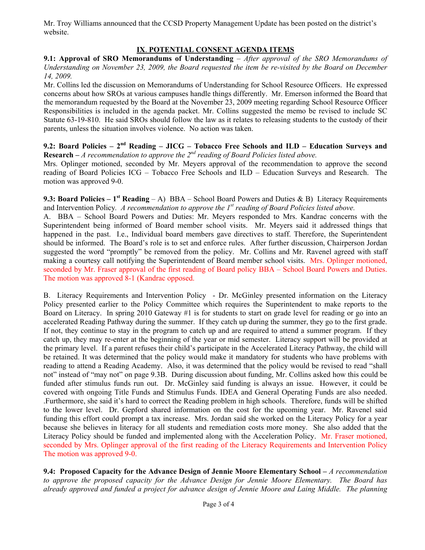Mr. Troy Williams announced that the CCSD Property Management Update has been posted on the district's website.

## **IX**. **POTENTIAL CONSENT AGENDA ITEMS**

**9.1: Approval of SRO Memorandums of Understanding** – *After approval of the SRO Memorandums of Understanding on November 23, 2009, the Board requested the item be re-visited by the Board on December 14, 2009.* 

Mr. Collins led the discussion on Memorandums of Understanding for School Resource Officers. He expressed concerns about how SROs at various campuses handle things differently. Mr. Emerson informed the Board that the memorandum requested by the Board at the November 23, 2009 meeting regarding School Resource Officer Responsibilities is included in the agenda packet. Mr. Collins suggested the memo be revised to include SC Statute 63-19-810. He said SROs should follow the law as it relates to releasing students to the custody of their parents, unless the situation involves violence. No action was taken.

**9.2: Board Policies – 2nd Reading – JICG – Tobacco Free Schools and ILD – Education Surveys and Research –** *A recommendation to approve the 2nd reading of Board Policies listed above.* 

Mrs. Oplinger motioned, seconded by Mr. Meyers approval of the recommendation to approve the second reading of Board Policies ICG – Tobacco Free Schools and ILD – Education Surveys and Research. The motion was approved 9-0.

**9.3: Board Policies – 1st Reading** *–* A)BBA – School Board Powers and Duties & B) Literacy Requirements and Intervention Policy*. A recommendation to approve the 1st reading of Board Policies listed above.* 

A. BBA – School Board Powers and Duties: Mr. Meyers responded to Mrs. Kandrac concerns with the Superintendent being informed of Board member school visits. Mr. Meyers said it addressed things that happened in the past. I.e., Individual board members gave directives to staff. Therefore, the Superintendent should be informed. The Board's role is to set and enforce rules. After further discussion, Chairperson Jordan suggested the word "promptly" be removed from the policy. Mr. Collins and Mr. Ravenel agreed with staff making a courtesy call notifying the Superintendent of Board member school visits. Mrs. Oplinger motioned, seconded by Mr. Fraser approval of the first reading of Board policy BBA – School Board Powers and Duties. The motion was approved 8-1 (Kandrac opposed.

B. Literacy Requirements and Intervention Policy - Dr. McGinley presented information on the Literacy Policy presented earlier to the Policy Committee which requires the Superintendent to make reports to the Board on Literacy. In spring 2010 Gateway #1 is for students to start on grade level for reading or go into an accelerated Reading Pathway during the summer. If they catch up during the summer, they go to the first grade. If not, they continue to stay in the program to catch up and are required to attend a summer program. If they catch up, they may re-enter at the beginning of the year or mid semester. Literacy support will be provided at the primary level. If a parent refuses their child's participate in the Accelerated Literacy Pathway, the child will be retained. It was determined that the policy would make it mandatory for students who have problems with reading to attend a Reading Academy. Also, it was determined that the policy would be revised to read "shall not" instead of "may not" on page 9.3B. During discussion about funding, Mr. Collins asked how this could be funded after stimulus funds run out. Dr. McGinley said funding is always an issue. However, it could be covered with ongoing Title Funds and Stimulus Funds. IDEA and General Operating Funds are also needed. .Furthermore, she said it's hard to correct the Reading problem in high schools. Therefore, funds will be shifted to the lower level. Dr. Gepford shared information on the cost for the upcoming year. Mr. Ravenel said funding this effort could prompt a tax increase. Mrs. Jordan said she worked on the Literacy Policy for a year because she believes in literacy for all students and remediation costs more money. She also added that the Literacy Policy should be funded and implemented along with the Acceleration Policy. Mr. Fraser motioned, seconded by Mrs. Oplinger approval of the first reading of the Literacy Requirements and Intervention Policy The motion was approved 9-0.

**9.4: Proposed Capacity for the Advance Design of Jennie Moore Elementary School –** *A recommendation to approve the proposed capacity for the Advance Design for Jennie Moore Elementary. The Board has already approved and funded a project for advance design of Jennie Moore and Laing Middle. The planning*